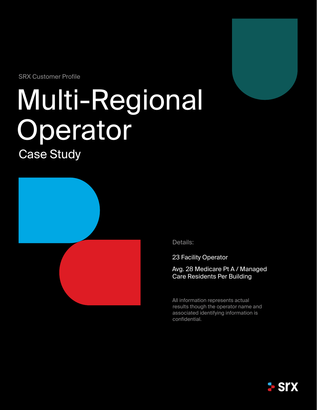SRX Customer Profile

# Multi-Regional Operator

Case Study



Details:

23 Facility Operator

Avg. 28 Medicare Pt A / Managed Care Residents Per Building

All information represents actual results though the operator name and associated identifying information is confidential.

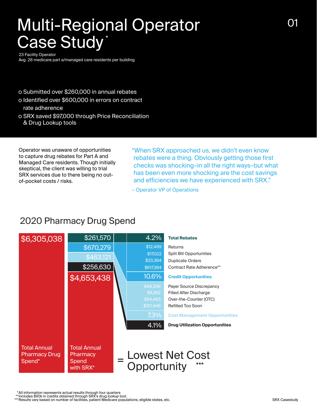## Multi-Regional Operator Case Study\*

23 Facility Operator

Avg. 28 medicare part a/managed care residents per building

- Submitted over \$260,000 in annual rebates
- o Identified over \$600,000 in errors on contract rate adherence
- SRX saved \$97,000 through Price Reconciliation & Drug Lookup tools

Operator was unaware of opportunities to capture drug rebates for Part A and Managed Care residents. Though initially skeptical, the client was willing to trial SRX services due to there being no outof-pocket costs / risks.

"When SRX approached us, we didn't even know rebates were a thing. Obviously getting those first checks was shocking–in all the right ways–but what has been even more shocking are the cost savings and efficiencies we have experienced with SRX."

– Operator VP of Operations

### 2020 Pharmacy Drug Spend



All information represents actual results through four quarters<br>Includes \$90k in credits obtained through SRX's drug lookup tool.<br>Results vary based on number of facilities, patient Medicare populations, eligible states, e \* \*\* \*\*\*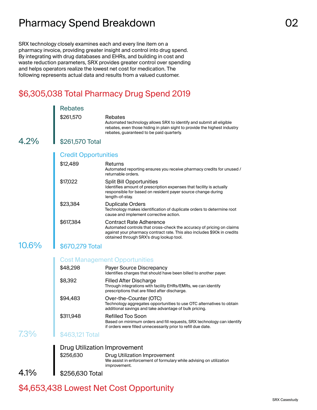## Pharmacy Spend Breakdown **COMEX 1998** 02

SRX technology closely examines each and every line item on a pharmacy invoice, providing greater insight and control into drug spend. By integrating with drug databases and EHRs, and building in cost and waste reduction parameters, SRX provides greater control over spending and helps operators realize the lowest net cost for medication. The following represents actual data and results from a valued customer.

## \$6,305,038 Total Pharmacy Drug Spend 2019

|          | <b>Rebates</b>              |                                                                                                                                                                                                                                 |
|----------|-----------------------------|---------------------------------------------------------------------------------------------------------------------------------------------------------------------------------------------------------------------------------|
|          | \$261,570                   | Rebates<br>Automated technology allows SRX to identify and submit all eligible<br>rebates, even those hiding in plain sight to provide the highest industry<br>rebates, guaranteed to be paid quarterly.                        |
| 4.2%     | \$261,570 Total             |                                                                                                                                                                                                                                 |
|          | <b>Credit Opportunities</b> |                                                                                                                                                                                                                                 |
|          | \$12,489                    | Returns<br>Automated reporting ensures you receive pharmacy credits for unused /<br>returnable orders.                                                                                                                          |
|          | \$17,022                    | <b>Split Bill Opportunities</b><br>Identifies amount of prescription expenses that facility is actually<br>responsible for based on resident payer source change during<br>length-of-stay.                                      |
|          | \$23,384                    | <b>Duplicate Orders</b><br>Technology makes identification of duplicate orders to determine root<br>cause and implement corrective action.                                                                                      |
|          | \$617,384                   | <b>Contract Rate Adherence</b><br>Automated controls that cross-check the accuracy of pricing on claims<br>against your pharmacy contract rate. This also includes \$90k in credits<br>obtained through SRX's drug lookup tool. |
| $10.6\%$ | \$670,279 Total             |                                                                                                                                                                                                                                 |
|          |                             | <b>Cost Management Opportunities</b>                                                                                                                                                                                            |
|          | \$48,298                    | Payer Source Discrepancy<br>Identifies charges that should have been billed to another payer.                                                                                                                                   |
|          | \$8,392                     | <b>Filled After Discharge</b><br>Through integrations with facility EHRs/EMRs, we can identify<br>prescriptions that are filled after discharge.                                                                                |
|          | \$94,483                    | Over-the-Counter (OTC)<br>Technology aggregates opportunities to use OTC alternatives to obtain<br>additional savings and take advantage of bulk pricing.                                                                       |
|          | \$311,948                   | <b>Refilled Too Soon</b><br>Based on minimum orders and fill requests, SRX technology can identify<br>if orders were filled unnecessarily prior to refill due date.                                                             |
| 7.3%     | \$463,121 Total             |                                                                                                                                                                                                                                 |
|          |                             | <b>Drug Utilization Improvement</b>                                                                                                                                                                                             |
|          | \$256,630                   | <b>Drug Utilization Improvement</b><br>We assist in enforcement of formulary while advising on utilization<br>improvement.                                                                                                      |
| 4.1%     | \$256,630 Total             |                                                                                                                                                                                                                                 |

### \$4,653,438 Lowest Net Cost Opportunity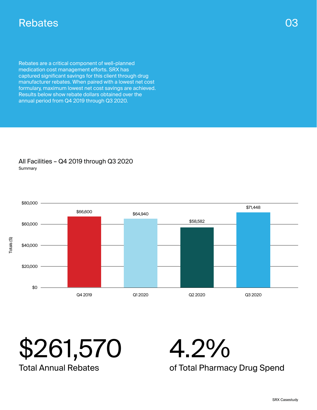## Rebates

Rebates are a critical component of well-planned medication cost management efforts. SRX has captured significant savings for this client through drug manufacturer rebates. When paired with a lowest net cost formulary, maximum lowest net cost savings are achieved. Results below show rebate dollars obtained over the annual period from Q4 2019 through Q3 2020.

#### All Facilities – Q4 2019 through Q3 2020 Summary



03

\$261,570 Total Annual Rebates

4.2%

of Total Pharmacy Drug Spend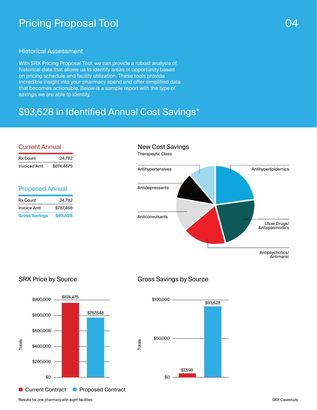## Pricing Proposal Tool 2004 and 2004 and 2004 and 2004 and 2004 and 2004 and 2004 and 2004 and 2004 and 2004 and 2004  $\sim$

#### Historical Assessment

With SRX Pricing Proposal Tool, we can provide a robust analysis of historical data that allows us to identify areas of opportunity based on pricing schedule and facility utilization. These tools provide incredible insight into your pharmacy spend and offer simplified data that becomes actionable. Below is a sample report with the type of savings we are able to identify.

## \$93,628 in Identified Annual Cost Savings\*

#### Current Annual

| Rx Count            | 24,782     |
|---------------------|------------|
| <b>Invoiced Amt</b> | \$874,4675 |

#### Proposed Annual

| <b>Gross Savings</b> | \$93,628  |
|----------------------|-----------|
| <b>Invoice Amt</b>   | \$787.468 |
| Rx Count             | 24.782    |

#### New Cost Savings Therapeutic Class



#### SRX Price by Source



#### Gross Savings by Source